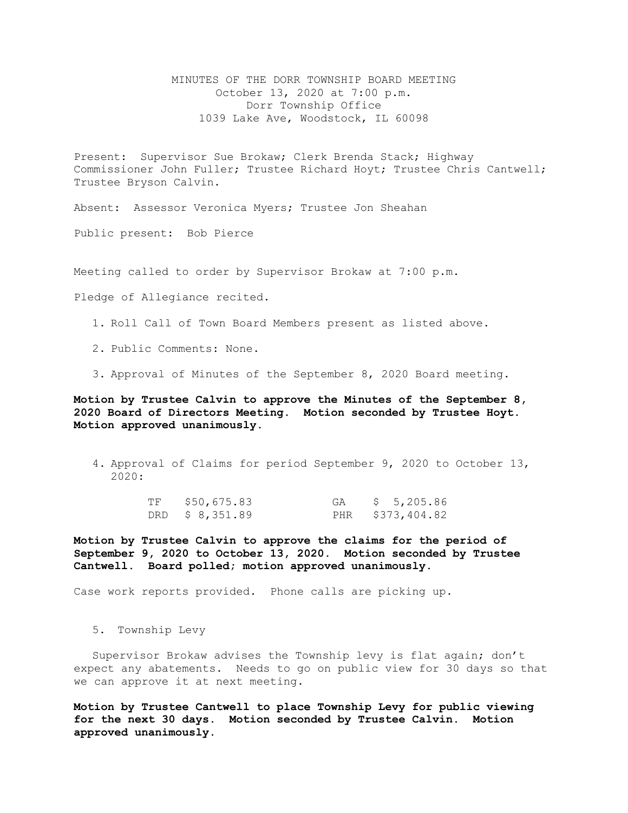MINUTES OF THE DORR TOWNSHIP BOARD MEETING October 13, 2020 at 7:00 p.m. Dorr Township Office 1039 Lake Ave, Woodstock, IL 60098

Present: Supervisor Sue Brokaw; Clerk Brenda Stack; Highway Commissioner John Fuller; Trustee Richard Hoyt; Trustee Chris Cantwell; Trustee Bryson Calvin.

Absent: Assessor Veronica Myers; Trustee Jon Sheahan

Public present: Bob Pierce

Meeting called to order by Supervisor Brokaw at 7:00 p.m.

Pledge of Allegiance recited.

- 1. Roll Call of Town Board Members present as listed above.
- 2. Public Comments: None.
- 3. Approval of Minutes of the September 8, 2020 Board meeting.

**Motion by Trustee Calvin to approve the Minutes of the September 8, 2020 Board of Directors Meeting. Motion seconded by Trustee Hoyt. Motion approved unanimously.** 

4. Approval of Claims for period September 9, 2020 to October 13, 2020:

| TF | \$50,675.83     | GA | \$ 5,205.86      |
|----|-----------------|----|------------------|
|    | DRD \$ 8,351.89 |    | PHR \$373,404.82 |

**Motion by Trustee Calvin to approve the claims for the period of September 9, 2020 to October 13, 2020. Motion seconded by Trustee Cantwell. Board polled; motion approved unanimously.**

Case work reports provided. Phone calls are picking up.

5. Township Levy

Supervisor Brokaw advises the Township levy is flat again; don't expect any abatements. Needs to go on public view for 30 days so that we can approve it at next meeting.

**Motion by Trustee Cantwell to place Township Levy for public viewing for the next 30 days. Motion seconded by Trustee Calvin. Motion approved unanimously.**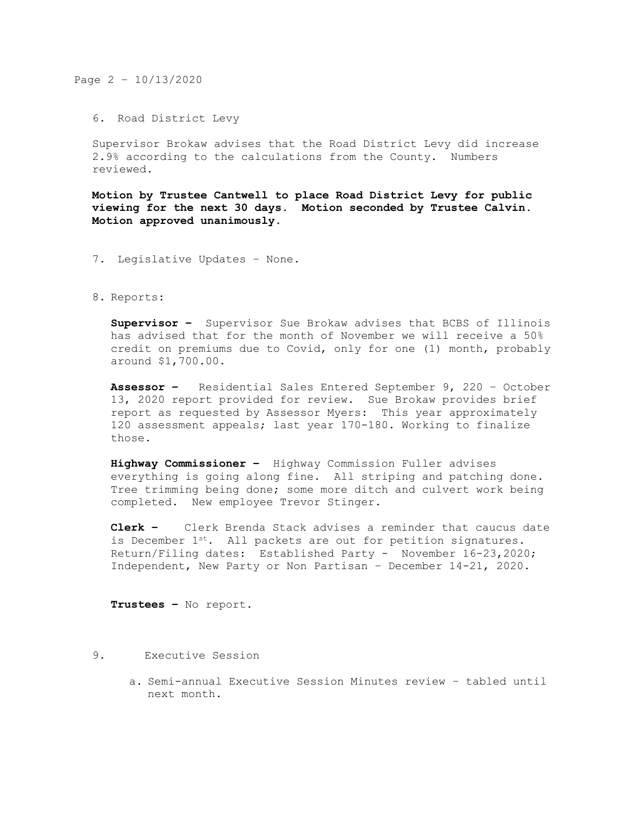Page 2 – 10/13/2020

6. Road District Levy

Supervisor Brokaw advises that the Road District Levy did increase 2.9% according to the calculations from the County. Numbers reviewed.

**Motion by Trustee Cantwell to place Road District Levy for public viewing for the next 30 days. Motion seconded by Trustee Calvin. Motion approved unanimously.**

- 7. Legislative Updates None.
- 8. Reports:

**Supervisor –** Supervisor Sue Brokaw advises that BCBS of Illinois has advised that for the month of November we will receive a 50% credit on premiums due to Covid, only for one (1) month, probably around \$1,700.00.

**Assessor –** Residential Sales Entered September 9, 220 – October 13, 2020 report provided for review. Sue Brokaw provides brief report as requested by Assessor Myers: This year approximately 120 assessment appeals; last year 170-180. Working to finalize those.

**Highway Commissioner –** Highway Commission Fuller advises everything is going along fine. All striping and patching done. Tree trimming being done; some more ditch and culvert work being completed. New employee Trevor Stinger.

**Clerk –** Clerk Brenda Stack advises a reminder that caucus date is December  $1^{st}$ . All packets are out for petition signatures. Return/Filing dates: Established Party - November 16-23,2020; Independent, New Party or Non Partisan – December 14-21, 2020.

**Trustees –** No report.

- 9. Executive Session
	- a. Semi-annual Executive Session Minutes review tabled until next month.